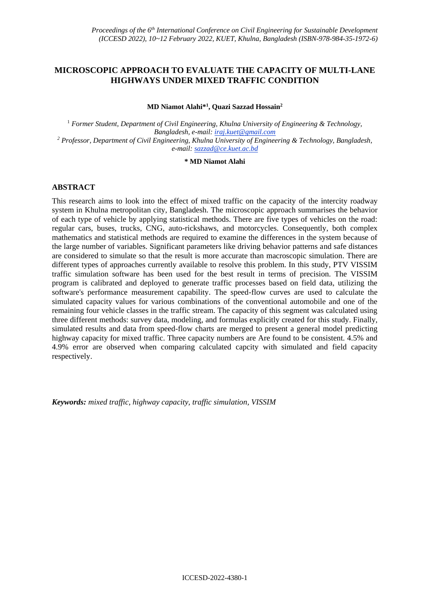# **MICROSCOPIC APPROACH TO EVALUATE THE CAPACITY OF MULTI-LANE HIGHWAYS UNDER MIXED TRAFFIC CONDITION**

**MD Niamot Alahi\* 1 , Quazi Sazzad Hossain<sup>2</sup>**

<sup>1</sup> *Former Student, Department of Civil Engineering, Khulna University of Engineering & Technology, Bangladesh, e-mail: iraj.kuet@gmail.com <sup>2</sup> Professor, Department of Civil Engineering, Khulna University of Engineering & Technology, Bangladesh, e-mail: sazzad@ce.kuet.ac.bd*

#### **\* MD Niamot Alahi**

## **ABSTRACT**

This research aims to look into the effect of mixed traffic on the capacity of the intercity roadway system in Khulna metropolitan city, Bangladesh. The microscopic approach summarises the behavior of each type of vehicle by applying statistical methods. There are five types of vehicles on the road: regular cars, buses, trucks, CNG, auto-rickshaws, and motorcycles. Consequently, both complex mathematics and statistical methods are required to examine the differences in the system because of the large number of variables. Significant parameters like driving behavior patterns and safe distances are considered to simulate so that the result is more accurate than macroscopic simulation. There are different types of approaches currently available to resolve this problem. In this study, PTV VISSIM traffic simulation software has been used for the best result in terms of precision. The VISSIM program is calibrated and deployed to generate traffic processes based on field data, utilizing the software's performance measurement capability. The speed-flow curves are used to calculate the simulated capacity values for various combinations of the conventional automobile and one of the remaining four vehicle classes in the traffic stream. The capacity of this segment was calculated using three different methods: survey data, modeling, and formulas explicitly created for this study. Finally, simulated results and data from speed-flow charts are merged to present a general model predicting highway capacity for mixed traffic. Three capacity numbers are Are found to be consistent. 4.5% and 4.9% error are observed when comparing calculated capcity with simulated and field capacity respectively.

*Keywords: mixed traffic, highway capacity, traffic simulation, VISSIM*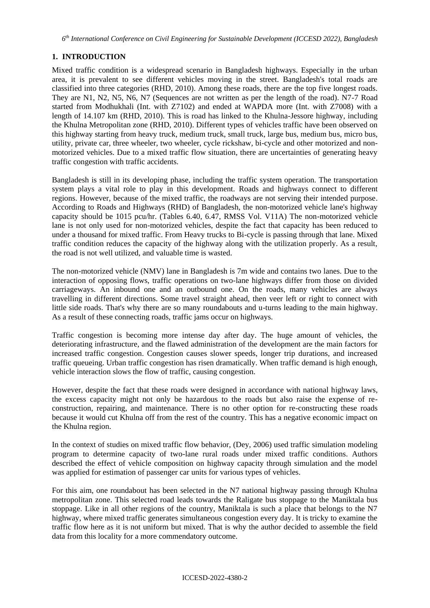# **1. INTRODUCTION**

Mixed traffic condition is a widespread scenario in Bangladesh highways. Especially in the urban area, it is prevalent to see different vehicles moving in the street. Bangladesh's total roads are classified into three categories (RHD, 2010). Among these roads, there are the top five longest roads. They are N1, N2, N5, N6, N7 (Sequences are not written as per the length of the road). N7-7 Road started from Modhukhali (Int. with Z7102) and ended at WAPDA more (Int. with Z7008) with a length of 14.107 km (RHD, 2010). This is road has linked to the Khulna-Jessore highway, including the Khulna Metropolitan zone (RHD, 2010). Different types of vehicles traffic have been observed on this highway starting from heavy truck, medium truck, small truck, large bus, medium bus, micro bus, utility, private car, three wheeler, two wheeler, cycle rickshaw, bi-cycle and other motorized and nonmotorized vehicles. Due to a mixed traffic flow situation, there are uncertainties of generating heavy traffic congestion with traffic accidents.

Bangladesh is still in its developing phase, including the traffic system operation. The transportation system plays a vital role to play in this development. Roads and highways connect to different regions. However, because of the mixed traffic, the roadways are not serving their intended purpose. According to Roads and Highways (RHD) of Bangladesh, the non-motorized vehicle lane's highway capacity should be 1015 pcu/hr. (Tables 6.40, 6.47, RMSS Vol. V11A) The non-motorized vehicle lane is not only used for non-motorized vehicles, despite the fact that capacity has been reduced to under a thousand for mixed traffic. From Heavy trucks to Bi-cycle is passing through that lane. Mixed traffic condition reduces the capacity of the highway along with the utilization properly. As a result, the road is not well utilized, and valuable time is wasted.

The non-motorized vehicle (NMV) lane in Bangladesh is 7m wide and contains two lanes. Due to the interaction of opposing flows, traffic operations on two-lane highways differ from those on divided carriageways. An inbound one and an outbound one. On the roads, many vehicles are always travelling in different directions. Some travel straight ahead, then veer left or right to connect with little side roads. That's why there are so many roundabouts and u-turns leading to the main highway. As a result of these connecting roads, traffic jams occur on highways.

Traffic congestion is becoming more intense day after day. The huge amount of vehicles, the deteriorating infrastructure, and the flawed administration of the development are the main factors for increased traffic congestion. Congestion causes slower speeds, longer trip durations, and increased traffic queueing. Urban traffic congestion has risen dramatically. When traffic demand is high enough, vehicle interaction slows the flow of traffic, causing congestion.

However, despite the fact that these roads were designed in accordance with national highway laws, the excess capacity might not only be hazardous to the roads but also raise the expense of reconstruction, repairing, and maintenance. There is no other option for re-constructing these roads because it would cut Khulna off from the rest of the country. This has a negative economic impact on the Khulna region.

In the context of studies on mixed traffic flow behavior, (Dey, 2006) used traffic simulation modeling program to determine capacity of two-lane rural roads under mixed traffic conditions. Authors described the effect of vehicle composition on highway capacity through simulation and the model was applied for estimation of passenger car units for various types of vehicles.

For this aim, one roundabout has been selected in the N7 national highway passing through Khulna metropolitan zone. This selected road leads towards the Raligate bus stoppage to the Maniktala bus stoppage. Like in all other regions of the country, Maniktala is such a place that belongs to the N7 highway, where mixed traffic generates simultaneous congestion every day. It is tricky to examine the traffic flow here as it is not uniform but mixed. That is why the author decided to assemble the field data from this locality for a more commendatory outcome.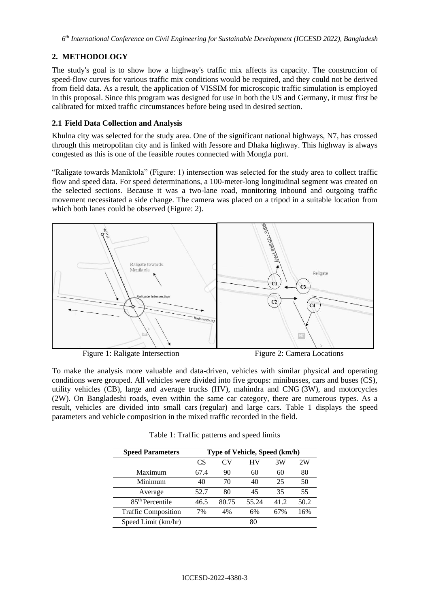# **2. METHODOLOGY**

The study's goal is to show how a highway's traffic mix affects its capacity. The construction of speed-flow curves for various traffic mix conditions would be required, and they could not be derived from field data. As a result, the application of VISSIM for microscopic traffic simulation is employed in this proposal. Since this program was designed for use in both the US and Germany, it must first be calibrated for mixed traffic circumstances before being used in desired section.

## **2.1 Field Data Collection and Analysis**

Khulna city was selected for the study area. One of the significant national highways, N7, has crossed through this metropolitan city and is linked with Jessore and Dhaka highway. This highway is always congested as this is one of the feasible routes connected with Mongla port.

"Raligate towards Maniktola" (Figure: 1) intersection was selected for the study area to collect traffic flow and speed data. For speed determinations, a 100-meter-long longitudinal segment was created on the selected sections. Because it was a two-lane road, monitoring inbound and outgoing traffic movement necessitated a side change. The camera was placed on a tripod in a suitable location from which both lanes could be observed (Figure: 2).



**Figure 1: Raligate Intersection** Figure 2: Camera Locations

To make the analysis more valuable and data-driven, vehicles with similar physical and operating conditions were grouped. All vehicles were divided into five groups: minibusses, cars and buses (CS), utility vehicles (CB), large and average trucks (HV), mahindra and CNG (3W), and motorcycles (2W). On Bangladeshi roads, even within the same car category, there are numerous types. As a result, vehicles are divided into small cars (regular) and large cars. Table 1 displays the speed parameters and vehicle composition in the mixed traffic recorded in the field.

| <b>Speed Parameters</b>     | Type of Vehicle, Speed (km/h) |       |       |      |      |
|-----------------------------|-------------------------------|-------|-------|------|------|
|                             | CS                            | Cν    | HV    | 3W   | 2W   |
| Maximum                     | 67.4                          | 90    | 60    | 60   | 80   |
| Minimum                     | 40                            | 70    | 40    | 25   | 50   |
| Average                     | 52.7                          | 80    | 45    | 35   | 55   |
| 85 <sup>th</sup> Percentile | 46.5                          | 80.75 | 55.24 | 41.2 | 50.2 |
| <b>Traffic Composition</b>  | 7%                            | 4%    | 6%    | 67%  | 16%  |
| Speed Limit (km/hr)         |                               |       | 80    |      |      |

Table 1: Traffic patterns and speed limits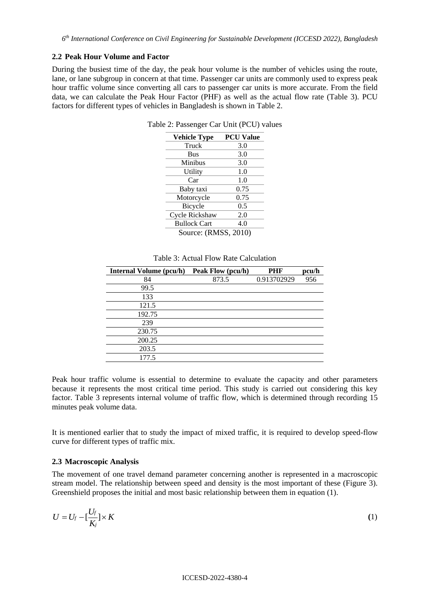#### **2.2 Peak Hour Volume and Factor**

During the busiest time of the day, the peak hour volume is the number of vehicles using the route, lane, or lane subgroup in concern at that time. Passenger car units are commonly used to express peak hour traffic volume since converting all cars to passenger car units is more accurate. From the field data, we can calculate the Peak Hour Factor (PHF) as well as the actual flow rate (Table 3). PCU factors for different types of vehicles in Bangladesh is shown in Table 2.

| <b>Vehicle Type</b>  | <b>PCU Value</b> |
|----------------------|------------------|
| Truck                | 3.0              |
| <b>Bus</b>           | 3.0              |
| Minibus              | 3.0              |
| Utility              | 1.0              |
| Car                  | 1.0              |
| Baby taxi            | 0.75             |
| Motorcycle           | 0.75             |
| Bicycle              | 0.5              |
| Cycle Rickshaw       | 2.0              |
| <b>Bullock Cart</b>  | 4.0              |
| Source: (RMSS, 2010) |                  |

Table 2: Passenger Car Unit (PCU) values

|  |  |  |  | Table 3: Actual Flow Rate Calculation |
|--|--|--|--|---------------------------------------|
|--|--|--|--|---------------------------------------|

| <b>Internal Volume (pcu/h)</b> | Peak Flow (pcu/h) | <b>PHF</b>  | pcu/h |
|--------------------------------|-------------------|-------------|-------|
| 84                             | 873.5             | 0.913702929 | 956   |
| 99.5                           |                   |             |       |
| 133                            |                   |             |       |
| 121.5                          |                   |             |       |
| 192.75                         |                   |             |       |
| 239                            |                   |             |       |
| 230.75                         |                   |             |       |
| 200.25                         |                   |             |       |
| 203.5                          |                   |             |       |
| 177.5                          |                   |             |       |

Peak hour traffic volume is essential to determine to evaluate the capacity and other parameters because it represents the most critical time period. This study is carried out considering this key factor. Table 3 represents internal volume of traffic flow, which is determined through recording 15 minutes peak volume data.

It is mentioned earlier that to study the impact of mixed traffic, it is required to develop speed-flow curve for different types of traffic mix.

#### **2.3 Macroscopic Analysis**

The movement of one travel demand parameter concerning another is represented in a macroscopic stream model. The relationship between speed and density is the most important of these (Figure 3). Greenshield proposes the initial and most basic relationship between them in equation (1).

$$
U = U_f - \left[\frac{U_f}{K_j}\right] \times K \tag{1}
$$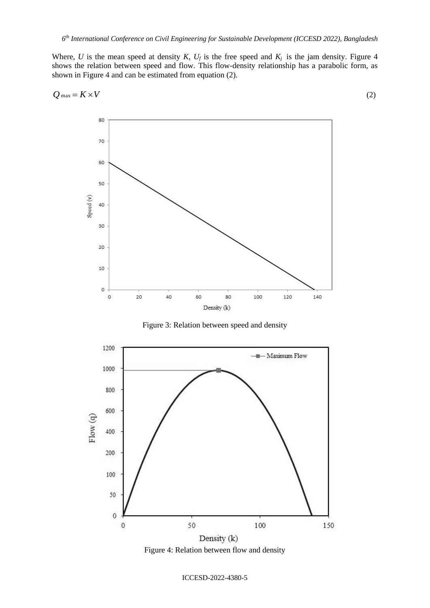Where, *U* is the mean speed at density *K*,  $U_f$  is the free speed and  $K_j$  is the jam density. Figure 4 shows the relation between speed and flow. This flow-density relationship has a parabolic form, as shown in Figure 4 and can be estimated from equation (2).

$$
Q_{\text{max}} = K \times V \tag{2}
$$



Figure 3: Relation between speed and density



Figure 4: Relation between flow and density

ICCESD-2022-4380-5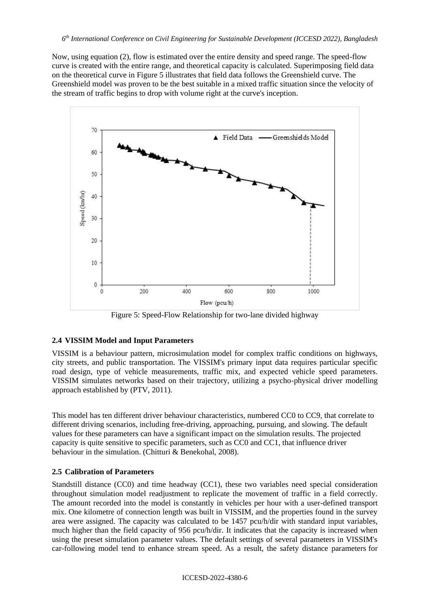Now, using equation (2), flow is estimated over the entire density and speed range. The speed-flow curve is created with the entire range, and theoretical capacity is calculated. Superimposing field data on the theoretical curve in Figure 5 illustrates that field data follows the Greenshield curve. The Greenshield model was proven to be the best suitable in a mixed traffic situation since the velocity of the stream of traffic begins to drop with volume right at the curve's inception.



Figure 5: Speed-Flow Relationship for two-lane divided highway

# **2.4 VISSIM Model and Input Parameters**

VISSIM is a behaviour pattern, microsimulation model for complex traffic conditions on highways, city streets, and public transportation. The VISSIM's primary input data requires particular specific road design, type of vehicle measurements, traffic mix, and expected vehicle speed parameters. VISSIM simulates networks based on their trajectory, utilizing a psycho-physical driver modelling approach established by (PTV, 2011).

This model has ten different driver behaviour characteristics, numbered CC0 to CC9, that correlate to different driving scenarios, including free-driving, approaching, pursuing, and slowing. The default values for these parameters can have a significant impact on the simulation results. The projected capacity is quite sensitive to specific parameters, such as CC0 and CC1, that influence driver behaviour in the simulation. (Chitturi & Benekohal, 2008).

### **2.5 Calibration of Parameters**

Standstill distance (CC0) and time headway (CC1), these two variables need special consideration throughout simulation model readjustment to replicate the movement of traffic in a field correctly. The amount recorded into the model is constantly in vehicles per hour with a user-defined transport mix. One kilometre of connection length was built in VISSIM, and the properties found in the survey area were assigned. The capacity was calculated to be 1457 pcu/h/dir with standard input variables, much higher than the field capacity of 956 pcu/h/dir. It indicates that the capacity is increased when using the preset simulation parameter values. The default settings of several parameters in VISSIM's car-following model tend to enhance stream speed. As a result, the safety distance parameters for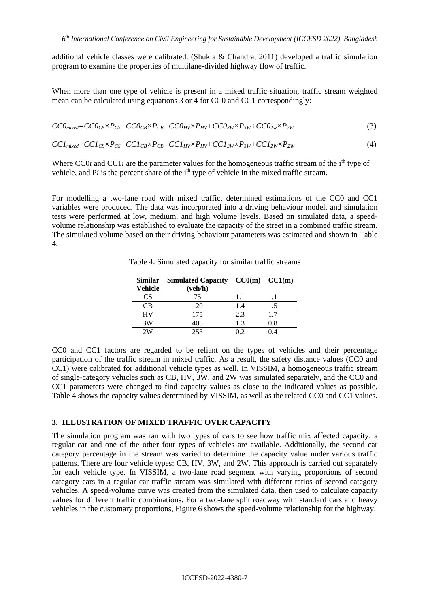additional vehicle classes were calibrated. (Shukla & Chandra, 2011) developed a traffic simulation program to examine the properties of multilane-divided highway flow of traffic.

When more than one type of vehicle is present in a mixed traffic situation, traffic stream weighted mean can be calculated using equations 3 or 4 for CC0 and CC1 correspondingly:

$$
CCOmixed=CCOCS×PCS+CCOCB×PCB+CCOHV×PHV+CCO3W×P3W+CCO2w×P2W
$$
\n(3)

 $CC1_{mixed} = CC1_{CS} \times P_{CS} + CC1_{CB} \times P_{CB} + CC1_{HV} \times P_{HV} + CC1_{3W} \times P_{3W} + CC1_{2W} \times P_{2W}$  (4)

Where CC0*i* and CC1*i* are the parameter values for the homogeneous traffic stream of the i<sup>th</sup> type of vehicle, and P*i* is the percent share of the i<sup>th</sup> type of vehicle in the mixed traffic stream.

For modelling a two-lane road with mixed traffic, determined estimations of the CC0 and CC1 variables were produced. The data was incorporated into a driving behaviour model, and simulation tests were performed at low, medium, and high volume levels. Based on simulated data, a speedvolume relationship was established to evaluate the capacity of the street in a combined traffic stream. The simulated volume based on their driving behaviour parameters was estimated and shown in Table 4.

| <b>Similar</b> | Simulated Capacity $CC0(m)$ $CC1(m)$ |     |         |
|----------------|--------------------------------------|-----|---------|
| Vehicle        | (veh/h)                              |     |         |
| CS             | 75                                   | 1.1 | 1.1     |
| CВ             | 120                                  | 1.4 | 1.5     |
| HV             | 175                                  | 2.3 | 1.7     |
| 3W             | 405                                  | 1.3 | $0.8\,$ |
| 2W             | 253                                  |     | 14      |

Table 4: Simulated capacity for similar traffic streams

CC0 and CC1 factors are regarded to be reliant on the types of vehicles and their percentage participation of the traffic stream in mixed traffic. As a result, the safety distance values (CC0 and CC1) were calibrated for additional vehicle types as well. In VISSIM, a homogeneous traffic stream of single-category vehicles such as CB, HV, 3W, and 2W was simulated separately, and the CC0 and CC1 parameters were changed to find capacity values as close to the indicated values as possible. Table 4 shows the capacity values determined by VISSIM, as well as the related CC0 and CC1 values.

# **3. ILLUSTRATION OF MIXED TRAFFIC OVER CAPACITY**

The simulation program was ran with two types of cars to see how traffic mix affected capacity: a regular car and one of the other four types of vehicles are available. Additionally, the second car category percentage in the stream was varied to determine the capacity value under various traffic patterns. There are four vehicle types: CB, HV, 3W, and 2W. This approach is carried out separately for each vehicle type. In VISSIM, a two-lane road segment with varying proportions of second category cars in a regular car traffic stream was simulated with different ratios of second category vehicles. A speed-volume curve was created from the simulated data, then used to calculate capacity values for different traffic combinations. For a two-lane split roadway with standard cars and heavy vehicles in the customary proportions, Figure 6 shows the speed-volume relationship for the highway.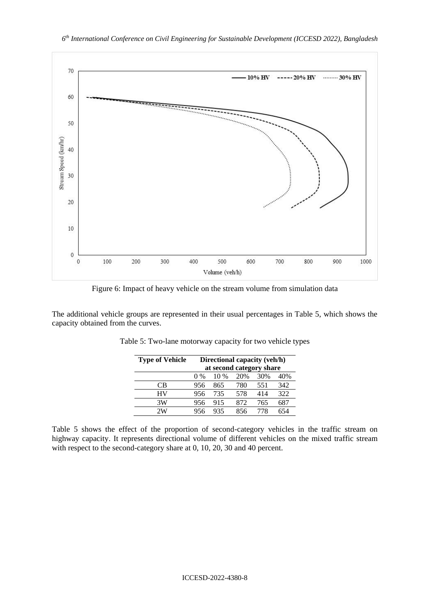

Figure 6: Impact of heavy vehicle on the stream volume from simulation data

The additional vehicle groups are represented in their usual percentages in Table 5, which shows the capacity obtained from the curves.

| <b>Type of Vehicle</b> | Directional capacity (veh/h) |      |     |     |     |
|------------------------|------------------------------|------|-----|-----|-----|
|                        | at second category share     |      |     |     |     |
|                        | $0\%$                        | 10 % | 20% | 30% | 40% |
| CВ                     | 956                          | 865  | 780 | 551 | 342 |
| HV                     | 956                          | 735  | 578 | 414 | 322 |
| 3W                     | 956                          | 915  | 872 | 765 | 687 |
| 2W                     | 956                          | 935  | 856 | 778 |     |

Table 5: Two-lane motorway capacity for two vehicle types

Table 5 shows the effect of the proportion of second-category vehicles in the traffic stream on highway capacity. It represents directional volume of different vehicles on the mixed traffic stream with respect to the second-category share at 0, 10, 20, 30 and 40 percent.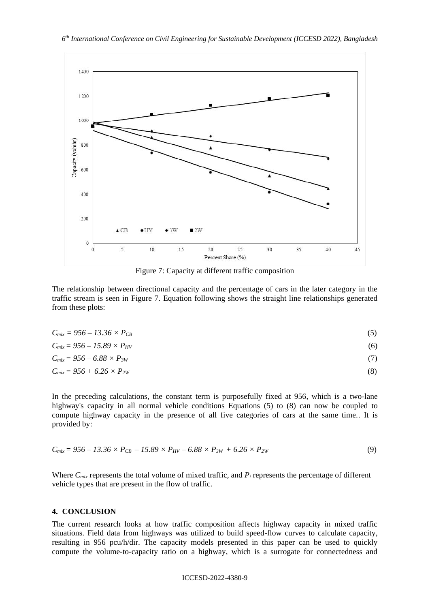

Figure 7: Capacity at different traffic composition

The relationship between directional capacity and the percentage of cars in the later category in the traffic stream is seen in Figure 7. Equation following shows the straight line relationships generated from these plots:

| $C_{mix} = 956 - 13.36 \times P_{CB}$ | (5) |
|---------------------------------------|-----|
|---------------------------------------|-----|

| $C_{mix} = 956 - 15.89 \times P_{HV}$ | (6) |
|---------------------------------------|-----|
| $C_{mix} = 956 - 6.88 \times P_{3W}$  |     |

$$
C_{mix} = 956 + 6.26 \times P_{2W} \tag{8}
$$

In the preceding calculations, the constant term is purposefully fixed at 956, which is a two-lane highway's capacity in all normal vehicle conditions Equations (5) to (8) can now be coupled to compute highway capacity in the presence of all five categories of cars at the same time.. It is provided by:

$$
C_{mix} = 956 - 13.36 \times P_{CB} - 15.89 \times P_{HV} - 6.88 \times P_{3W} + 6.26 \times P_{2W}
$$
\n(9)

Where  $C_{mix}$  represents the total volume of mixed traffic, and  $P_i$  represents the percentage of different vehicle types that are present in the flow of traffic.

#### **4. CONCLUSION**

The current research looks at how traffic composition affects highway capacity in mixed traffic situations. Field data from highways was utilized to build speed-flow curves to calculate capacity, resulting in 956 pcu/h/dir. The capacity models presented in this paper can be used to quickly compute the volume-to-capacity ratio on a highway, which is a surrogate for connectedness and

#### ICCESD-2022-4380-9